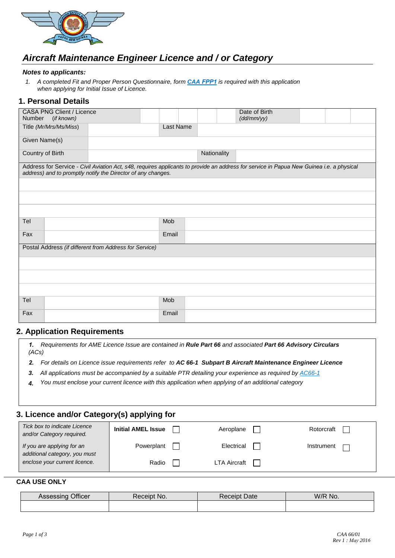

# *Aircraft Maintenance Engineer Licence and / or Category*

#### *Notes to applicants:*

*1. A completed Fit and Proper Person Questionnaire, form CAA [FPP1](https://casapng.gov.pg/wp-content/uploads/2017/09/CAA-FPP1_Fit-and-Proper-Person_Application-form.pdf) is required with this application when applying for Initial Issue of Licence.*

### **1. Personal Details**

| <b>CASA PNG Client / Licence</b><br>Number<br>(if known)                                                                                                                                                 |  |       |           | Date of Birth<br>(dd/mm/yy) |  |  |  |
|----------------------------------------------------------------------------------------------------------------------------------------------------------------------------------------------------------|--|-------|-----------|-----------------------------|--|--|--|
| Title (Mr/Mrs/Ms/Miss)                                                                                                                                                                                   |  |       | Last Name |                             |  |  |  |
| Given Name(s)                                                                                                                                                                                            |  |       |           |                             |  |  |  |
| Country of Birth                                                                                                                                                                                         |  |       |           | Nationality                 |  |  |  |
| Address for Service - Civil Aviation Act, s48, requires applicants to provide an address for service in Papua New Guinea i.e. a physical<br>address) and to promptly notify the Director of any changes. |  |       |           |                             |  |  |  |
|                                                                                                                                                                                                          |  |       |           |                             |  |  |  |
|                                                                                                                                                                                                          |  |       |           |                             |  |  |  |
|                                                                                                                                                                                                          |  |       |           |                             |  |  |  |
| Tel                                                                                                                                                                                                      |  | Mob   |           |                             |  |  |  |
| Fax                                                                                                                                                                                                      |  | Email |           |                             |  |  |  |
| Postal Address (if different from Address for Service)                                                                                                                                                   |  |       |           |                             |  |  |  |
|                                                                                                                                                                                                          |  |       |           |                             |  |  |  |
|                                                                                                                                                                                                          |  |       |           |                             |  |  |  |
|                                                                                                                                                                                                          |  |       |           |                             |  |  |  |
| Tel                                                                                                                                                                                                      |  | Mob   |           |                             |  |  |  |
| Fax                                                                                                                                                                                                      |  | Email |           |                             |  |  |  |

### **2. Application Requirements**

*1. Requirements for AME Licence Issue are contained in Rule Part 66 and associated Part 66 Advisory Circulars (ACs)*

- *2. For details on Licence issue requirements refer to AC 66-1 Subpart B Aircraft Maintenance Engineer Licence*
- *3. All ap[plications](http://www.caa.govt.nz/Advisory_Circulars/AC66_1.pdf) must be accompanied by a suitable PTR detailing your experience as required by [AC66-1](https://casapng.gov.pg/wp-content/uploads/2018/06/ac-66_1-Aircraft-Maintenance-Engineer-Licensing-General.pdf)*
- *4. You must enclose your current licence with this application [when applying](http://www.caa.govt.nz/) of an additional categ[ory](http://www.caa.govt.nz/Advisory_Circulars/AC66_1.pdf)*

### **3. Licence and/or Category(s) applying for**

| Tick box to indicate Licence<br>and/or Category required.   | <b>Initial AMEL Issue</b> | Aeroplane    | Rotorcraft |
|-------------------------------------------------------------|---------------------------|--------------|------------|
| If you are applying for an<br>additional category, you must | Powerplant                | Electrical   | Instrument |
| enclose your current licence.                               | Radio                     | LTA Aircraft |            |

### **CAA USE ONLY**

| Officer<br>300000000<br>ASSESSING | No.<br>⊀eceıpt | Date<br>teceipt? | W/R<br>No. |
|-----------------------------------|----------------|------------------|------------|
|                                   |                |                  |            |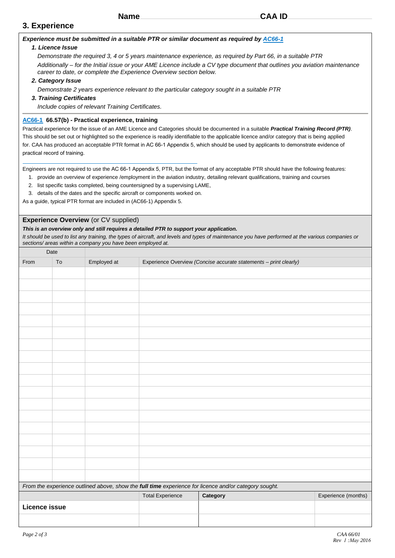### **3. Experience**

#### *Experience must be submitted in a suitable PTR or similar document as required b[y](http://www.caa.govt.nz/Advisory_Circulars/AC66_1.pdf) [AC66-](https://casapng.gov.pg/wp-content/uploads/2018/06/ac-66_1-Aircraft-Maintenance-Engineer-Licensing-General.pdf)[1](http://www.caa.govt.nz/Advisory_Circulars/AC66_1.pdf)*

#### *1. Licence Issue*

*Demonstrate the required 3, 4 or 5 years maintenance experience, as required by Part 66, in a suitable PTR Additionally – for the Initial issue or your AME Licence include a CV type document that outlines you aviation maintenance career to date, or complete the Experience Overview section below.*

#### *2. Category Issue*

*Demonstrate 2 years experience relevant to the particular category sought in a suitable PTR*

#### *3. Training Certificates*

*Include copies of relevant Training Certificates.*

#### **[AC66-1](http://www.caa.govt.nz/Advisory_Circulars/AC66_1.pdf) 66.57(b) - Practical experience, training**

Practical experience for the issue of an AME Licence and Categories should be documented in a suitable *Practical Training Record (PTR)*. This should be set out or highlighted so the experience is readily identifiable to the applicable licence and/or category that is being applied for. CAA has produced an acceptable PTR format in AC 66-1 Appendix 5, which should be used by applicants to demonstrate evidence of practical record of training.

Engineers are not required to use the AC 66-1 Appendix 5, PTR, but the format of any acceptable PTR should have the following features:

- 1. provide an overview of experience /employment in the aviation industry, detailing relevant qualifications, training and courses
- 2. list specific tasks completed, being countersigned by a supervising LAME,
- 3. details of the dates and the specific aircraft or components worked on.

As a guide, typical PTR format are included in (AC66-1) Appendix 5.

#### **Experience Overview** (or CV supplied)

#### *This is an overview only and still requires a detailed PTR to support your application.*

*It should be used to list any training, the types of aircraft, and levels and types of maintenance you have performed at the various companies or sections/ areas within a company you have been employed at.*

| Date                 |            |             |                         |                                                                                                       |                     |
|----------------------|------------|-------------|-------------------------|-------------------------------------------------------------------------------------------------------|---------------------|
| From                 | ${\sf To}$ | Employed at |                         | Experience Overview (Concise accurate statements - print clearly)                                     |                     |
|                      |            |             |                         |                                                                                                       |                     |
|                      |            |             |                         |                                                                                                       |                     |
|                      |            |             |                         |                                                                                                       |                     |
|                      |            |             |                         |                                                                                                       |                     |
|                      |            |             |                         |                                                                                                       |                     |
|                      |            |             |                         |                                                                                                       |                     |
|                      |            |             |                         |                                                                                                       |                     |
|                      |            |             |                         |                                                                                                       |                     |
|                      |            |             |                         |                                                                                                       |                     |
|                      |            |             |                         |                                                                                                       |                     |
|                      |            |             |                         |                                                                                                       |                     |
|                      |            |             |                         |                                                                                                       |                     |
|                      |            |             |                         |                                                                                                       |                     |
|                      |            |             |                         |                                                                                                       |                     |
|                      |            |             |                         |                                                                                                       |                     |
|                      |            |             |                         |                                                                                                       |                     |
|                      |            |             |                         |                                                                                                       |                     |
|                      |            |             |                         |                                                                                                       |                     |
|                      |            |             |                         | From the experience outlined above, show the full time experience for licence and/or category sought. |                     |
|                      |            |             | <b>Total Experience</b> | Category                                                                                              | Experience (months) |
| <b>Licence issue</b> |            |             |                         |                                                                                                       |                     |
|                      |            |             |                         |                                                                                                       |                     |
|                      |            |             |                         |                                                                                                       |                     |